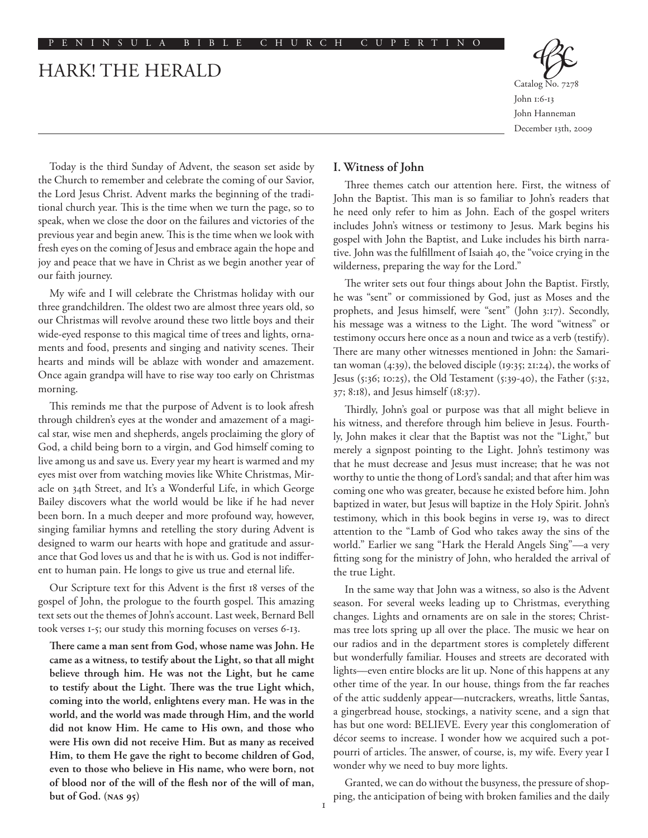# HARK! THE HERALD



Catalog No. 7278 John 1:6-13 John Hanneman December 13th, 2009

Today is the third Sunday of Advent, the season set aside by the Church to remember and celebrate the coming of our Savior, the Lord Jesus Christ. Advent marks the beginning of the traditional church year. This is the time when we turn the page, so to speak, when we close the door on the failures and victories of the previous year and begin anew. This is the time when we look with fresh eyes on the coming of Jesus and embrace again the hope and joy and peace that we have in Christ as we begin another year of our faith journey.

My wife and I will celebrate the Christmas holiday with our three grandchildren. The oldest two are almost three years old, so our Christmas will revolve around these two little boys and their wide-eyed response to this magical time of trees and lights, ornaments and food, presents and singing and nativity scenes. Their hearts and minds will be ablaze with wonder and amazement. Once again grandpa will have to rise way too early on Christmas morning.

This reminds me that the purpose of Advent is to look afresh through children's eyes at the wonder and amazement of a magical star, wise men and shepherds, angels proclaiming the glory of God, a child being born to a virgin, and God himself coming to live among us and save us. Every year my heart is warmed and my eyes mist over from watching movies like White Christmas, Miracle on 34th Street, and It's a Wonderful Life, in which George Bailey discovers what the world would be like if he had never been born. In a much deeper and more profound way, however, singing familiar hymns and retelling the story during Advent is designed to warm our hearts with hope and gratitude and assurance that God loves us and that he is with us. God is not indifferent to human pain. He longs to give us true and eternal life.

Our Scripture text for this Advent is the first 18 verses of the gospel of John, the prologue to the fourth gospel. This amazing text sets out the themes of John's account. Last week, Bernard Bell took verses 1-5; our study this morning focuses on verses 6-13.

**There came a man sent from God, whose name was John. He came as a witness, to testify about the Light, so that all might believe through him. He was not the Light, but he came to testify about the Light. There was the true Light which, coming into the world, enlightens every man. He was in the world, and the world was made through Him, and the world did not know Him. He came to His own, and those who were His own did not receive Him. But as many as received Him, to them He gave the right to become children of God, even to those who believe in His name, who were born, not of blood nor of the will of the flesh nor of the will of man, but of God. (NAS 95)**

#### **I. Witness of John**

Three themes catch our attention here. First, the witness of John the Baptist. This man is so familiar to John's readers that he need only refer to him as John. Each of the gospel writers includes John's witness or testimony to Jesus. Mark begins his gospel with John the Baptist, and Luke includes his birth narrative. John was the fulfillment of Isaiah 40, the "voice crying in the wilderness, preparing the way for the Lord."

The writer sets out four things about John the Baptist. Firstly, he was "sent" or commissioned by God, just as Moses and the prophets, and Jesus himself, were "sent" (John 3:17). Secondly, his message was a witness to the Light. The word "witness" or testimony occurs here once as a noun and twice as a verb (testify). There are many other witnesses mentioned in John: the Samaritan woman (4:39), the beloved disciple (19:35; 21:24), the works of Jesus (5:36; 10:25), the Old Testament (5:39-40), the Father (5:32, 37; 8:18), and Jesus himself (18:37).

Thirdly, John's goal or purpose was that all might believe in his witness, and therefore through him believe in Jesus. Fourthly, John makes it clear that the Baptist was not the "Light," but merely a signpost pointing to the Light. John's testimony was that he must decrease and Jesus must increase; that he was not worthy to untie the thong of Lord's sandal; and that after him was coming one who was greater, because he existed before him. John baptized in water, but Jesus will baptize in the Holy Spirit. John's testimony, which in this book begins in verse 19, was to direct attention to the "Lamb of God who takes away the sins of the world." Earlier we sang "Hark the Herald Angels Sing"––a very fitting song for the ministry of John, who heralded the arrival of the true Light.

In the same way that John was a witness, so also is the Advent season. For several weeks leading up to Christmas, everything changes. Lights and ornaments are on sale in the stores; Christmas tree lots spring up all over the place. The music we hear on our radios and in the department stores is completely different but wonderfully familiar. Houses and streets are decorated with lights––even entire blocks are lit up. None of this happens at any other time of the year. In our house, things from the far reaches of the attic suddenly appear––nutcrackers, wreaths, little Santas, a gingerbread house, stockings, a nativity scene, and a sign that has but one word: BELIEVE. Every year this conglomeration of décor seems to increase. I wonder how we acquired such a potpourri of articles. The answer, of course, is, my wife. Every year I wonder why we need to buy more lights.

Granted, we can do without the busyness, the pressure of shopping, the anticipation of being with broken families and the daily

 $\mathbf{I}$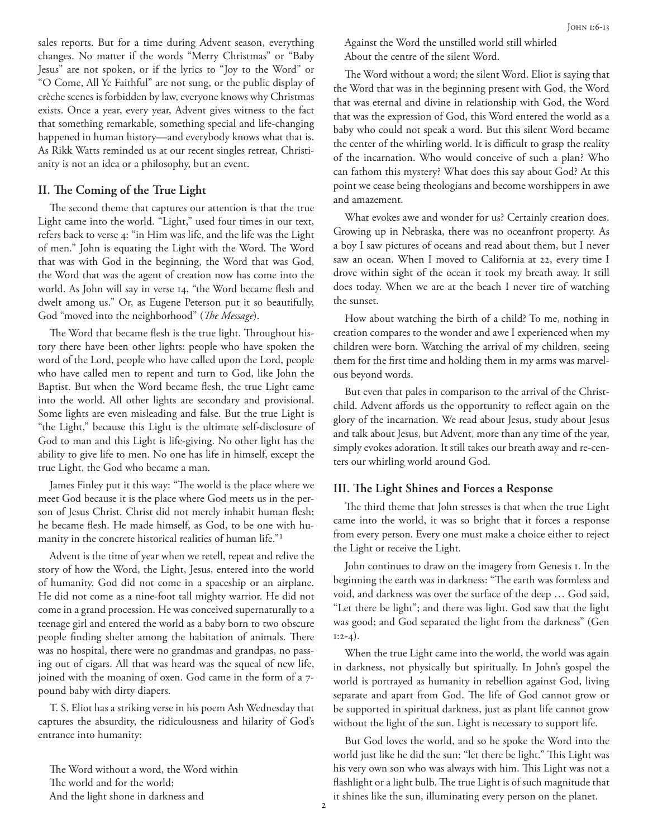sales reports. But for a time during Advent season, everything changes. No matter if the words "Merry Christmas" or "Baby Jesus" are not spoken, or if the lyrics to "Joy to the Word" or "O Come, All Ye Faithful" are not sung, or the public display of crèche scenes is forbidden by law, everyone knows why Christmas exists. Once a year, every year, Advent gives witness to the fact that something remarkable, something special and life-changing happened in human history—and everybody knows what that is. As Rikk Watts reminded us at our recent singles retreat, Christianity is not an idea or a philosophy, but an event.

## **II. The Coming of the True Light**

The second theme that captures our attention is that the true Light came into the world. "Light," used four times in our text, refers back to verse 4: "in Him was life, and the life was the Light of men." John is equating the Light with the Word. The Word that was with God in the beginning, the Word that was God, the Word that was the agent of creation now has come into the world. As John will say in verse 14, "the Word became flesh and dwelt among us." Or, as Eugene Peterson put it so beautifully, God "moved into the neighborhood" (*The Message*).

The Word that became flesh is the true light. Throughout history there have been other lights: people who have spoken the word of the Lord, people who have called upon the Lord, people who have called men to repent and turn to God, like John the Baptist. But when the Word became flesh, the true Light came into the world. All other lights are secondary and provisional. Some lights are even misleading and false. But the true Light is "the Light," because this Light is the ultimate self-disclosure of God to man and this Light is life-giving. No other light has the ability to give life to men. No one has life in himself, except the true Light, the God who became a man.

James Finley put it this way: "The world is the place where we meet God because it is the place where God meets us in the person of Jesus Christ. Christ did not merely inhabit human flesh; he became flesh. He made himself, as God, to be one with humanity in the concrete historical realities of human life."1

Advent is the time of year when we retell, repeat and relive the story of how the Word, the Light, Jesus, entered into the world of humanity. God did not come in a spaceship or an airplane. He did not come as a nine-foot tall mighty warrior. He did not come in a grand procession. He was conceived supernaturally to a teenage girl and entered the world as a baby born to two obscure people finding shelter among the habitation of animals. There was no hospital, there were no grandmas and grandpas, no passing out of cigars. All that was heard was the squeal of new life, joined with the moaning of oxen. God came in the form of a 7 pound baby with dirty diapers.

T. S. Eliot has a striking verse in his poem Ash Wednesday that captures the absurdity, the ridiculousness and hilarity of God's entrance into humanity:

The Word without a word, the Word within The world and for the world; And the light shone in darkness and

Against the Word the unstilled world still whirled About the centre of the silent Word.

The Word without a word; the silent Word. Eliot is saying that the Word that was in the beginning present with God, the Word that was eternal and divine in relationship with God, the Word that was the expression of God, this Word entered the world as a baby who could not speak a word. But this silent Word became the center of the whirling world. It is difficult to grasp the reality of the incarnation. Who would conceive of such a plan? Who can fathom this mystery? What does this say about God? At this point we cease being theologians and become worshippers in awe and amazement.

What evokes awe and wonder for us? Certainly creation does. Growing up in Nebraska, there was no oceanfront property. As a boy I saw pictures of oceans and read about them, but I never saw an ocean. When I moved to California at 22, every time I drove within sight of the ocean it took my breath away. It still does today. When we are at the beach I never tire of watching the sunset.

How about watching the birth of a child? To me, nothing in creation compares to the wonder and awe I experienced when my children were born. Watching the arrival of my children, seeing them for the first time and holding them in my arms was marvelous beyond words.

But even that pales in comparison to the arrival of the Christchild. Advent affords us the opportunity to reflect again on the glory of the incarnation. We read about Jesus, study about Jesus and talk about Jesus, but Advent, more than any time of the year, simply evokes adoration. It still takes our breath away and re-centers our whirling world around God.

## **III. The Light Shines and Forces a Response**

The third theme that John stresses is that when the true Light came into the world, it was so bright that it forces a response from every person. Every one must make a choice either to reject the Light or receive the Light.

John continues to draw on the imagery from Genesis 1. In the beginning the earth was in darkness: "The earth was formless and void, and darkness was over the surface of the deep … God said, "Let there be light"; and there was light. God saw that the light was good; and God separated the light from the darkness" (Gen  $1:2-4$ ).

When the true Light came into the world, the world was again in darkness, not physically but spiritually. In John's gospel the world is portrayed as humanity in rebellion against God, living separate and apart from God. The life of God cannot grow or be supported in spiritual darkness, just as plant life cannot grow without the light of the sun. Light is necessary to support life.

But God loves the world, and so he spoke the Word into the world just like he did the sun: "let there be light." This Light was his very own son who was always with him. This Light was not a flashlight or a light bulb. The true Light is of such magnitude that it shines like the sun, illuminating every person on the planet.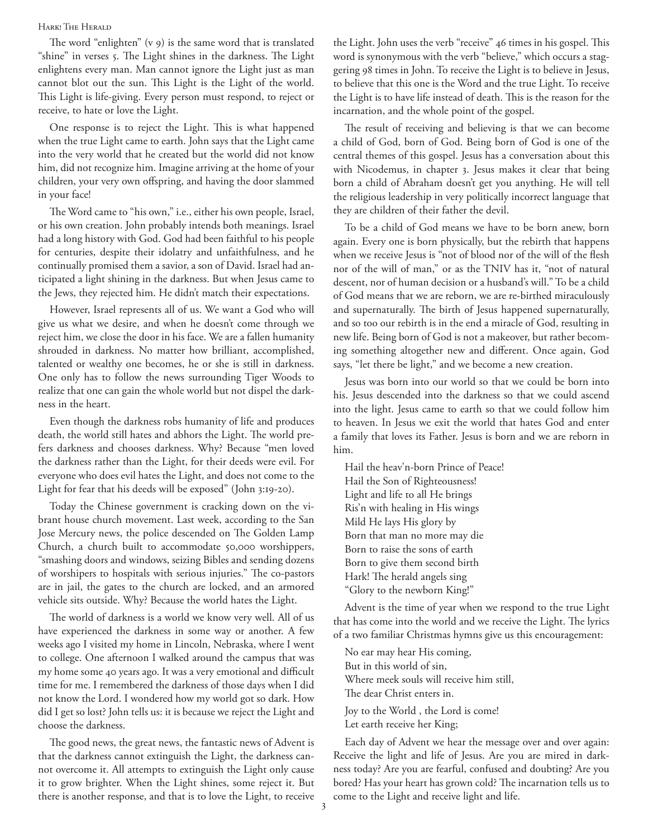#### Hark! The Herald

The word "enlighten" (v 9) is the same word that is translated "shine" in verses 5. The Light shines in the darkness. The Light enlightens every man. Man cannot ignore the Light just as man cannot blot out the sun. This Light is the Light of the world. This Light is life-giving. Every person must respond, to reject or receive, to hate or love the Light.

One response is to reject the Light. This is what happened when the true Light came to earth. John says that the Light came into the very world that he created but the world did not know him, did not recognize him. Imagine arriving at the home of your children, your very own offspring, and having the door slammed in your face!

The Word came to "his own," i.e., either his own people, Israel, or his own creation. John probably intends both meanings. Israel had a long history with God. God had been faithful to his people for centuries, despite their idolatry and unfaithfulness, and he continually promised them a savior, a son of David. Israel had anticipated a light shining in the darkness. But when Jesus came to the Jews, they rejected him. He didn't match their expectations.

However, Israel represents all of us. We want a God who will give us what we desire, and when he doesn't come through we reject him, we close the door in his face. We are a fallen humanity shrouded in darkness. No matter how brilliant, accomplished, talented or wealthy one becomes, he or she is still in darkness. One only has to follow the news surrounding Tiger Woods to realize that one can gain the whole world but not dispel the darkness in the heart.

Even though the darkness robs humanity of life and produces death, the world still hates and abhors the Light. The world prefers darkness and chooses darkness. Why? Because "men loved the darkness rather than the Light, for their deeds were evil. For everyone who does evil hates the Light, and does not come to the Light for fear that his deeds will be exposed" (John 3:19-20).

Today the Chinese government is cracking down on the vibrant house church movement. Last week, according to the San Jose Mercury news, the police descended on The Golden Lamp Church, a church built to accommodate 50,000 worshippers, "smashing doors and windows, seizing Bibles and sending dozens of worshipers to hospitals with serious injuries." The co-pastors are in jail, the gates to the church are locked, and an armored vehicle sits outside. Why? Because the world hates the Light.

The world of darkness is a world we know very well. All of us have experienced the darkness in some way or another. A few weeks ago I visited my home in Lincoln, Nebraska, where I went to college. One afternoon I walked around the campus that was my home some 40 years ago. It was a very emotional and difficult time for me. I remembered the darkness of those days when I did not know the Lord. I wondered how my world got so dark. How did I get so lost? John tells us: it is because we reject the Light and choose the darkness.

The good news, the great news, the fantastic news of Advent is that the darkness cannot extinguish the Light, the darkness cannot overcome it. All attempts to extinguish the Light only cause it to grow brighter. When the Light shines, some reject it. But there is another response, and that is to love the Light, to receive the Light. John uses the verb "receive" 46 times in his gospel. This word is synonymous with the verb "believe," which occurs a staggering 98 times in John. To receive the Light is to believe in Jesus, to believe that this one is the Word and the true Light. To receive the Light is to have life instead of death. This is the reason for the incarnation, and the whole point of the gospel.

The result of receiving and believing is that we can become a child of God, born of God. Being born of God is one of the central themes of this gospel. Jesus has a conversation about this with Nicodemus, in chapter 3. Jesus makes it clear that being born a child of Abraham doesn't get you anything. He will tell the religious leadership in very politically incorrect language that they are children of their father the devil.

To be a child of God means we have to be born anew, born again. Every one is born physically, but the rebirth that happens when we receive Jesus is "not of blood nor of the will of the flesh nor of the will of man," or as the TNIV has it, "not of natural descent, nor of human decision or a husband's will." To be a child of God means that we are reborn, we are re-birthed miraculously and supernaturally. The birth of Jesus happened supernaturally, and so too our rebirth is in the end a miracle of God, resulting in new life. Being born of God is not a makeover, but rather becoming something altogether new and different. Once again, God says, "let there be light," and we become a new creation.

Jesus was born into our world so that we could be born into his. Jesus descended into the darkness so that we could ascend into the light. Jesus came to earth so that we could follow him to heaven. In Jesus we exit the world that hates God and enter a family that loves its Father. Jesus is born and we are reborn in him.

Hail the heav'n-born Prince of Peace! Hail the Son of Righteousness! Light and life to all He brings Ris'n with healing in His wings Mild He lays His glory by Born that man no more may die Born to raise the sons of earth Born to give them second birth Hark! The herald angels sing "Glory to the newborn King!"

Advent is the time of year when we respond to the true Light that has come into the world and we receive the Light. The lyrics of a two familiar Christmas hymns give us this encouragement:

No ear may hear His coming, But in this world of sin, Where meek souls will receive him still, The dear Christ enters in. Joy to the World , the Lord is come! Let earth receive her King;

Each day of Advent we hear the message over and over again: Receive the light and life of Jesus. Are you are mired in darkness today? Are you are fearful, confused and doubting? Are you bored? Has your heart has grown cold? The incarnation tells us to come to the Light and receive light and life.